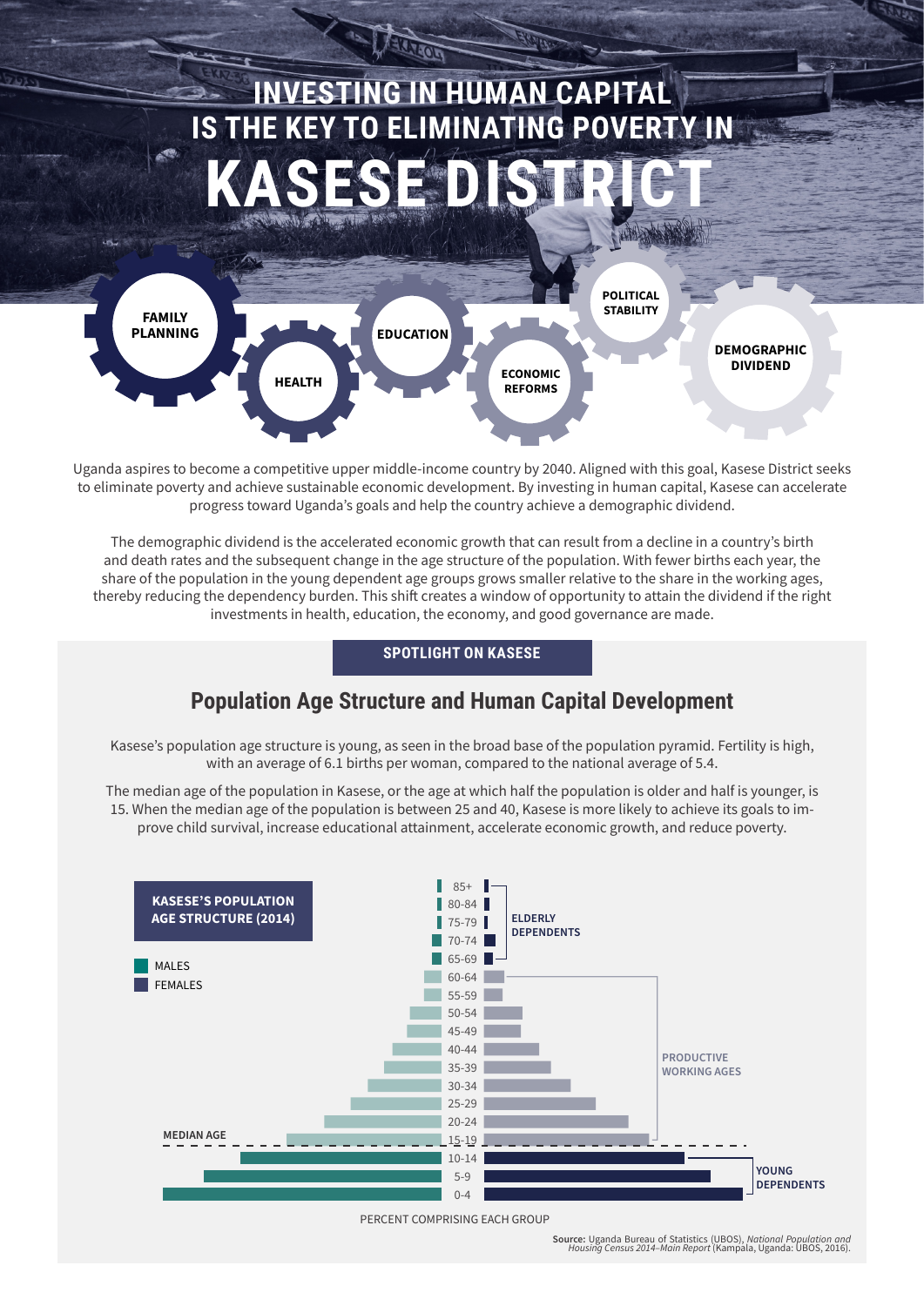

Uganda aspires to become a competitive upper middle-income country by 2040. Aligned with this goal, Kasese District seeks to eliminate poverty and achieve sustainable economic development. By investing in human capital, Kasese can accelerate progress toward Uganda's goals and help the country achieve a demographic dividend.

The demographic dividend is the accelerated economic growth that can result from a decline in a country's birth and death rates and the subsequent change in the age structure of the population. With fewer births each year, the share of the population in the young dependent age groups grows smaller relative to the share in the working ages, thereby reducing the dependency burden. This shift creates a window of opportunity to attain the dividend if the right investments in health, education, the economy, and good governance are made.

### **SPOTLIGHT ON KASESE**

## **Population Age Structure and Human Capital Development**

Kasese's population age structure is young, as seen in the broad base of the population pyramid. Fertility is high, with an average of 6.1 births per woman, compared to the national average of 5.4.

The median age of the population in Kasese, or the age at which half the population is older and half is younger, is 15. When the median age of the population is between 25 and 40, Kasese is more likely to achieve its goals to improve child survival, increase educational attainment, accelerate economic growth, and reduce poverty.



PERCENT COMPRISING EACH GROUP